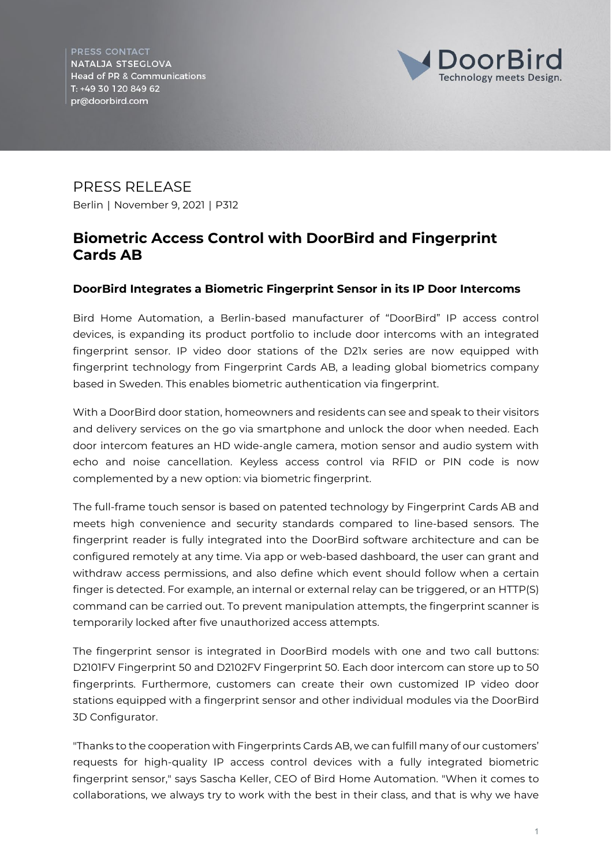PRESS CONTACT NATALJA STSEGLOVA **Head of PR & Communications** T: +49 30 120 849 62 pr@doorbird.com



PRESS RELEASE Berlin | November 9, 2021 | P312

## **Biometric Access Control with DoorBird and Fingerprint Cards AB**

## **DoorBird Integrates a Biometric Fingerprint Sensor in its IP Door Intercoms**

Bird Home Automation, a Berlin-based manufacturer of "DoorBird" IP access control devices, is expanding its product portfolio to include door intercoms with an integrated fingerprint sensor. IP video door stations of the D21x series are now equipped with fingerprint technology from Fingerprint Cards AB, a leading global biometrics company based in Sweden. This enables biometric authentication via fingerprint.

With a DoorBird door station, homeowners and residents can see and speak to their visitors and delivery services on the go via smartphone and unlock the door when needed. Each door intercom features an HD wide-angle camera, motion sensor and audio system with echo and noise cancellation. Keyless access control via RFID or PIN code is now complemented by a new option: via biometric fingerprint.

The full-frame touch sensor is based on patented technology by Fingerprint Cards AB and meets high convenience and security standards compared to line-based sensors. The fingerprint reader is fully integrated into the DoorBird software architecture and can be configured remotely at any time. Via app or web-based dashboard, the user can grant and withdraw access permissions, and also define which event should follow when a certain finger is detected. For example, an internal or external relay can be triggered, or an HTTP(S) command can be carried out. To prevent manipulation attempts, the fingerprint scanner is temporarily locked after five unauthorized access attempts.

The fingerprint sensor is integrated in DoorBird models with one and two call buttons: D2101FV Fingerprint 50 and D2102FV Fingerprint 50. Each door intercom can store up to 50 fingerprints. Furthermore, customers can create their own customized IP video door stations equipped with a fingerprint sensor and other individual modules via the DoorBird 3D Configurator.

"Thanks to the cooperation with Fingerprints Cards AB, we can fulfill many of our customers' requests for high-quality IP access control devices with a fully integrated biometric fingerprint sensor," says Sascha Keller, CEO of Bird Home Automation. "When it comes to collaborations, we always try to work with the best in their class, and that is why we have